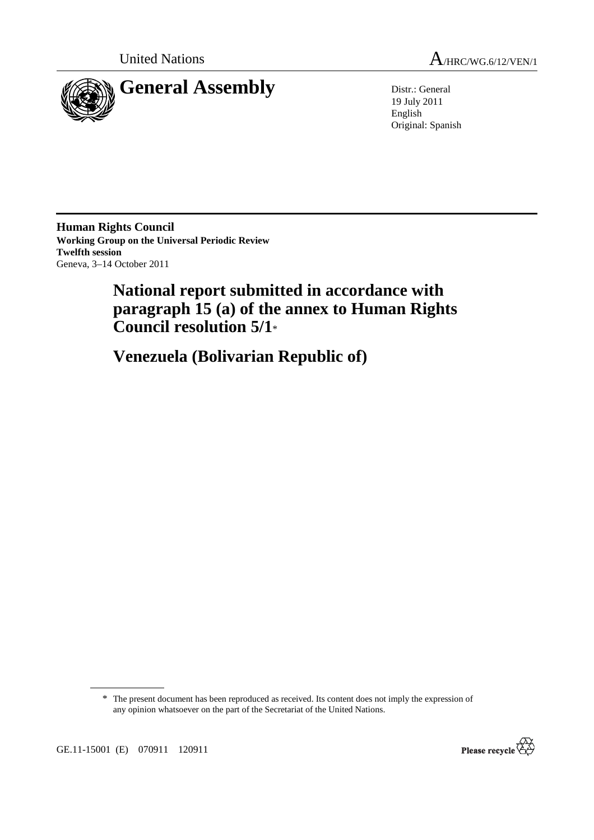



19 July 2011 English Original: Spanish

**Human Rights Council Working Group on the Universal Periodic Review Twelfth session**  Geneva, 3–14 October 2011

# **National report submitted in accordance with paragraph 15 (a) of the annex to Human Rights Council resolution 5/1**\*

 **Venezuela (Bolivarian Republic of)** 

\* The present document has been reproduced as received. Its content does not imply the expression of any opinion whatsoever on the part of the Secretariat of the United Nations.



GE.11-15001 (E) 070911 120911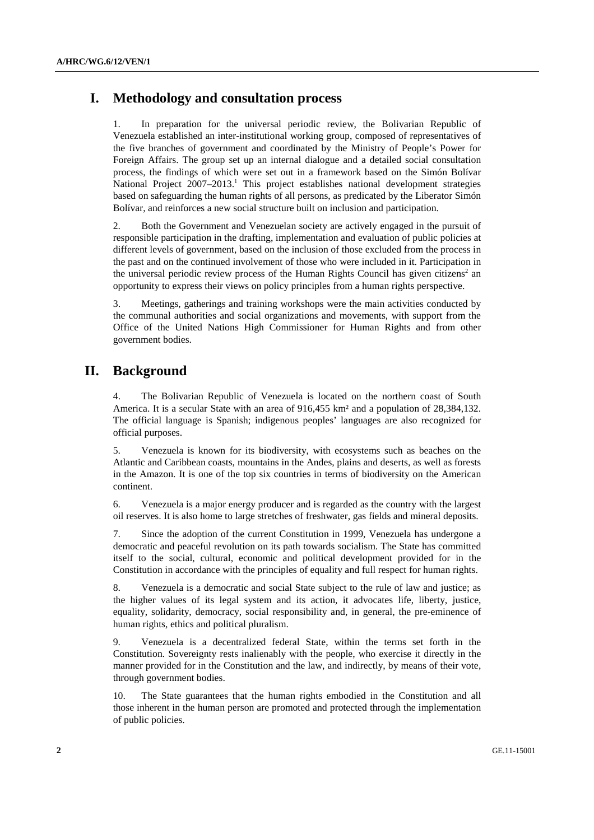# **I. Methodology and consultation process**

1. In preparation for the universal periodic review, the Bolivarian Republic of Venezuela established an inter-institutional working group, composed of representatives of the five branches of government and coordinated by the Ministry of People's Power for Foreign Affairs. The group set up an internal dialogue and a detailed social consultation process, the findings of which were set out in a framework based on the Simón Bolívar National Project 2007-2013.<sup>1</sup> This project establishes national development strategies based on safeguarding the human rights of all persons, as predicated by the Liberator Simón Bolívar, and reinforces a new social structure built on inclusion and participation.

2. Both the Government and Venezuelan society are actively engaged in the pursuit of responsible participation in the drafting, implementation and evaluation of public policies at different levels of government, based on the inclusion of those excluded from the process in the past and on the continued involvement of those who were included in it. Participation in the universal periodic review process of the Human Rights Council has given citizens<sup>2</sup> an opportunity to express their views on policy principles from a human rights perspective.

3. Meetings, gatherings and training workshops were the main activities conducted by the communal authorities and social organizations and movements, with support from the Office of the United Nations High Commissioner for Human Rights and from other government bodies.

### **II. Background**

4. The Bolivarian Republic of Venezuela is located on the northern coast of South America. It is a secular State with an area of 916,455 km² and a population of 28,384,132. The official language is Spanish; indigenous peoples' languages are also recognized for official purposes.

5. Venezuela is known for its biodiversity, with ecosystems such as beaches on the Atlantic and Caribbean coasts, mountains in the Andes, plains and deserts, as well as forests in the Amazon. It is one of the top six countries in terms of biodiversity on the American continent.

6. Venezuela is a major energy producer and is regarded as the country with the largest oil reserves. It is also home to large stretches of freshwater, gas fields and mineral deposits.

7. Since the adoption of the current Constitution in 1999, Venezuela has undergone a democratic and peaceful revolution on its path towards socialism. The State has committed itself to the social, cultural, economic and political development provided for in the Constitution in accordance with the principles of equality and full respect for human rights.

8. Venezuela is a democratic and social State subject to the rule of law and justice; as the higher values of its legal system and its action, it advocates life, liberty, justice, equality, solidarity, democracy, social responsibility and, in general, the pre-eminence of human rights, ethics and political pluralism.

9. Venezuela is a decentralized federal State, within the terms set forth in the Constitution. Sovereignty rests inalienably with the people, who exercise it directly in the manner provided for in the Constitution and the law, and indirectly, by means of their vote, through government bodies.

10. The State guarantees that the human rights embodied in the Constitution and all those inherent in the human person are promoted and protected through the implementation of public policies.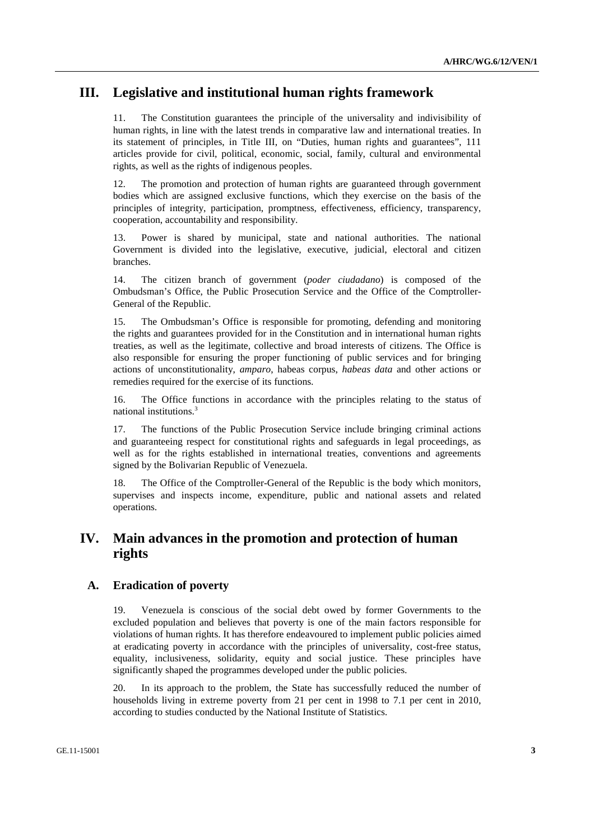# **III. Legislative and institutional human rights framework**

11. The Constitution guarantees the principle of the universality and indivisibility of human rights, in line with the latest trends in comparative law and international treaties. In its statement of principles, in Title III, on "Duties, human rights and guarantees", 111 articles provide for civil, political, economic, social, family, cultural and environmental rights, as well as the rights of indigenous peoples.

12. The promotion and protection of human rights are guaranteed through government bodies which are assigned exclusive functions, which they exercise on the basis of the principles of integrity, participation, promptness, effectiveness, efficiency, transparency, cooperation, accountability and responsibility.

13. Power is shared by municipal, state and national authorities. The national Government is divided into the legislative, executive, judicial, electoral and citizen branches.

14. The citizen branch of government (*poder ciudadano*) is composed of the Ombudsman's Office, the Public Prosecution Service and the Office of the Comptroller-General of the Republic.

15. The Ombudsman's Office is responsible for promoting, defending and monitoring the rights and guarantees provided for in the Constitution and in international human rights treaties, as well as the legitimate, collective and broad interests of citizens. The Office is also responsible for ensuring the proper functioning of public services and for bringing actions of unconstitutionality, *amparo*, habeas corpus, *habeas data* and other actions or remedies required for the exercise of its functions.

16. The Office functions in accordance with the principles relating to the status of national institutions.3

17. The functions of the Public Prosecution Service include bringing criminal actions and guaranteeing respect for constitutional rights and safeguards in legal proceedings, as well as for the rights established in international treaties, conventions and agreements signed by the Bolivarian Republic of Venezuela.

18. The Office of the Comptroller-General of the Republic is the body which monitors, supervises and inspects income, expenditure, public and national assets and related operations.

# **IV. Main advances in the promotion and protection of human rights**

### **A. Eradication of poverty**

19. Venezuela is conscious of the social debt owed by former Governments to the excluded population and believes that poverty is one of the main factors responsible for violations of human rights. It has therefore endeavoured to implement public policies aimed at eradicating poverty in accordance with the principles of universality, cost-free status, equality, inclusiveness, solidarity, equity and social justice. These principles have significantly shaped the programmes developed under the public policies.

20. In its approach to the problem, the State has successfully reduced the number of households living in extreme poverty from 21 per cent in 1998 to 7.1 per cent in 2010, according to studies conducted by the National Institute of Statistics.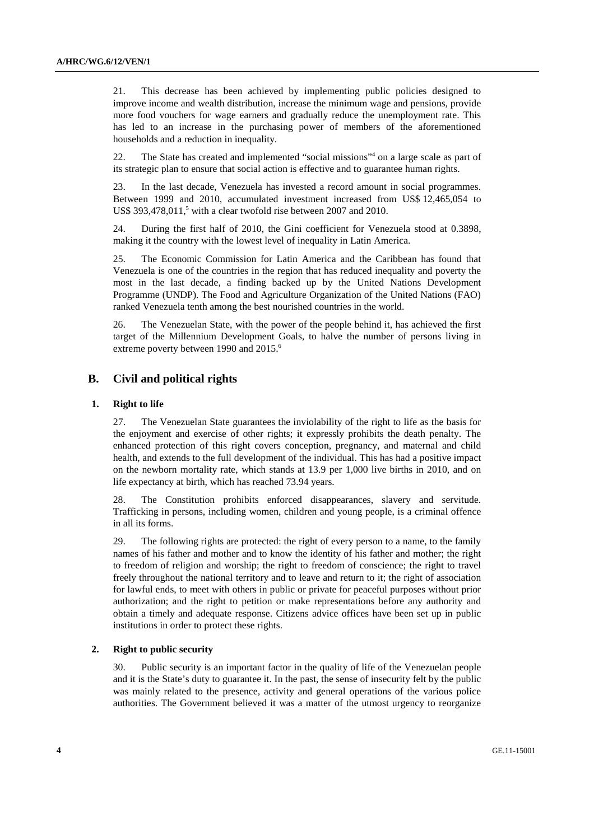21. This decrease has been achieved by implementing public policies designed to improve income and wealth distribution, increase the minimum wage and pensions, provide more food vouchers for wage earners and gradually reduce the unemployment rate. This has led to an increase in the purchasing power of members of the aforementioned households and a reduction in inequality.

22. The State has created and implemented "social missions"<sup>4</sup> on a large scale as part of its strategic plan to ensure that social action is effective and to guarantee human rights.

23. In the last decade, Venezuela has invested a record amount in social programmes. Between 1999 and 2010, accumulated investment increased from US\$ 12,465,054 to US\$ 393,478,011,<sup>5</sup> with a clear twofold rise between 2007 and 2010.

24. During the first half of 2010, the Gini coefficient for Venezuela stood at 0.3898, making it the country with the lowest level of inequality in Latin America.

25. The Economic Commission for Latin America and the Caribbean has found that Venezuela is one of the countries in the region that has reduced inequality and poverty the most in the last decade, a finding backed up by the United Nations Development Programme (UNDP). The Food and Agriculture Organization of the United Nations (FAO) ranked Venezuela tenth among the best nourished countries in the world.

26. The Venezuelan State, with the power of the people behind it, has achieved the first target of the Millennium Development Goals, to halve the number of persons living in extreme poverty between 1990 and 2015.<sup>6</sup>

### **B. Civil and political rights**

#### **1. Right to life**

27. The Venezuelan State guarantees the inviolability of the right to life as the basis for the enjoyment and exercise of other rights; it expressly prohibits the death penalty. The enhanced protection of this right covers conception, pregnancy, and maternal and child health, and extends to the full development of the individual. This has had a positive impact on the newborn mortality rate, which stands at 13.9 per 1,000 live births in 2010, and on life expectancy at birth, which has reached 73.94 years.

28. The Constitution prohibits enforced disappearances, slavery and servitude. Trafficking in persons, including women, children and young people, is a criminal offence in all its forms.

29. The following rights are protected: the right of every person to a name, to the family names of his father and mother and to know the identity of his father and mother; the right to freedom of religion and worship; the right to freedom of conscience; the right to travel freely throughout the national territory and to leave and return to it; the right of association for lawful ends, to meet with others in public or private for peaceful purposes without prior authorization; and the right to petition or make representations before any authority and obtain a timely and adequate response. Citizens advice offices have been set up in public institutions in order to protect these rights.

#### **2. Right to public security**

30. Public security is an important factor in the quality of life of the Venezuelan people and it is the State's duty to guarantee it. In the past, the sense of insecurity felt by the public was mainly related to the presence, activity and general operations of the various police authorities. The Government believed it was a matter of the utmost urgency to reorganize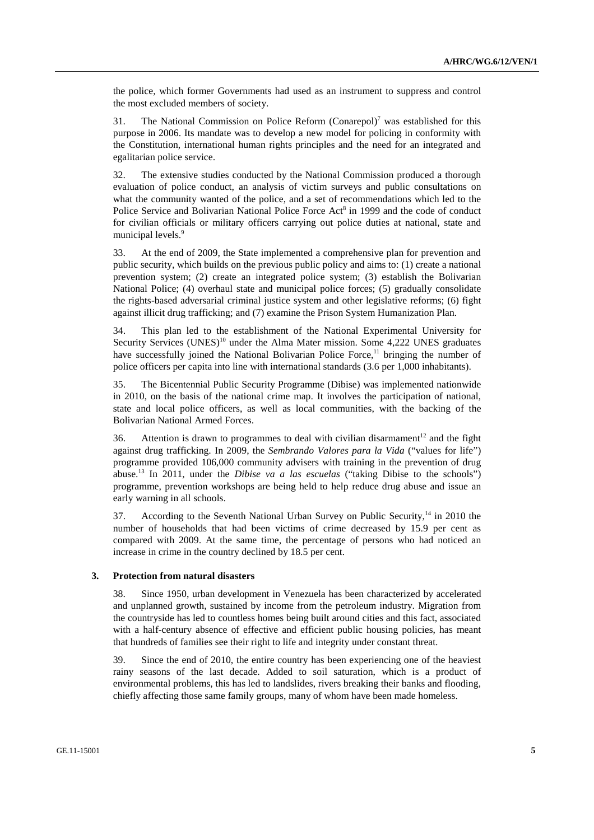the police, which former Governments had used as an instrument to suppress and control the most excluded members of society.

31. The National Commission on Police Reform  $(Conarepol)^7$  was established for this purpose in 2006. Its mandate was to develop a new model for policing in conformity with the Constitution, international human rights principles and the need for an integrated and egalitarian police service.

32. The extensive studies conducted by the National Commission produced a thorough evaluation of police conduct, an analysis of victim surveys and public consultations on what the community wanted of the police, and a set of recommendations which led to the Police Service and Bolivarian National Police Force Act<sup>8</sup> in 1999 and the code of conduct for civilian officials or military officers carrying out police duties at national, state and municipal levels.<sup>9</sup>

33. At the end of 2009, the State implemented a comprehensive plan for prevention and public security, which builds on the previous public policy and aims to: (1) create a national prevention system; (2) create an integrated police system; (3) establish the Bolivarian National Police; (4) overhaul state and municipal police forces; (5) gradually consolidate the rights-based adversarial criminal justice system and other legislative reforms; (6) fight against illicit drug trafficking; and (7) examine the Prison System Humanization Plan.

34. This plan led to the establishment of the National Experimental University for Security Services  $(UNES)^{10}$  under the Alma Mater mission. Some 4,222 UNES graduates have successfully joined the National Bolivarian Police Force,<sup>11</sup> bringing the number of police officers per capita into line with international standards (3.6 per 1,000 inhabitants).

35. The Bicentennial Public Security Programme (Dibise) was implemented nationwide in 2010, on the basis of the national crime map. It involves the participation of national, state and local police officers, as well as local communities, with the backing of the Bolivarian National Armed Forces.

36. Attention is drawn to programmes to deal with civilian disarmament<sup>12</sup> and the fight against drug trafficking. In 2009, the *Sembrando Valores para la Vida* ("values for life") programme provided 106,000 community advisers with training in the prevention of drug abuse.13 In 2011, under the *Dibise va a las escuelas* ("taking Dibise to the schools") programme, prevention workshops are being held to help reduce drug abuse and issue an early warning in all schools.

37. According to the Seventh National Urban Survey on Public Security,<sup>14</sup> in 2010 the number of households that had been victims of crime decreased by 15.9 per cent as compared with 2009. At the same time, the percentage of persons who had noticed an increase in crime in the country declined by 18.5 per cent.

#### **3. Protection from natural disasters**

38. Since 1950, urban development in Venezuela has been characterized by accelerated and unplanned growth, sustained by income from the petroleum industry. Migration from the countryside has led to countless homes being built around cities and this fact, associated with a half-century absence of effective and efficient public housing policies, has meant that hundreds of families see their right to life and integrity under constant threat.

39. Since the end of 2010, the entire country has been experiencing one of the heaviest rainy seasons of the last decade. Added to soil saturation, which is a product of environmental problems, this has led to landslides, rivers breaking their banks and flooding, chiefly affecting those same family groups, many of whom have been made homeless.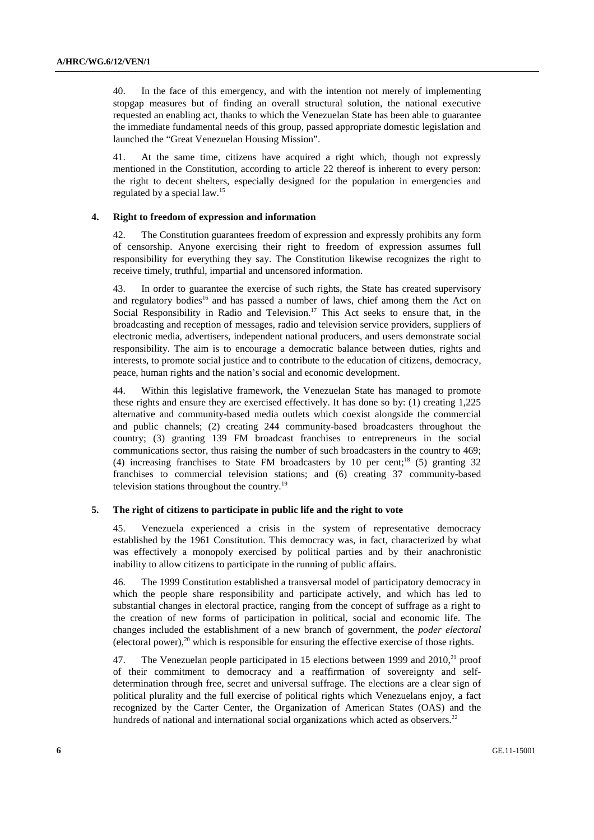40. In the face of this emergency, and with the intention not merely of implementing stopgap measures but of finding an overall structural solution, the national executive requested an enabling act, thanks to which the Venezuelan State has been able to guarantee the immediate fundamental needs of this group, passed appropriate domestic legislation and launched the "Great Venezuelan Housing Mission".

41. At the same time, citizens have acquired a right which, though not expressly mentioned in the Constitution, according to article 22 thereof is inherent to every person: the right to decent shelters, especially designed for the population in emergencies and regulated by a special law.<sup>15</sup>

### **4. Right to freedom of expression and information**

42. The Constitution guarantees freedom of expression and expressly prohibits any form of censorship. Anyone exercising their right to freedom of expression assumes full responsibility for everything they say. The Constitution likewise recognizes the right to receive timely, truthful, impartial and uncensored information.

43. In order to guarantee the exercise of such rights, the State has created supervisory and regulatory bodies<sup>16</sup> and has passed a number of laws, chief among them the Act on Social Responsibility in Radio and Television.<sup>17</sup> This Act seeks to ensure that, in the broadcasting and reception of messages, radio and television service providers, suppliers of electronic media, advertisers, independent national producers, and users demonstrate social responsibility. The aim is to encourage a democratic balance between duties, rights and interests, to promote social justice and to contribute to the education of citizens, democracy, peace, human rights and the nation's social and economic development.

44. Within this legislative framework, the Venezuelan State has managed to promote these rights and ensure they are exercised effectively. It has done so by: (1) creating 1,225 alternative and community-based media outlets which coexist alongside the commercial and public channels; (2) creating 244 community-based broadcasters throughout the country; (3) granting 139 FM broadcast franchises to entrepreneurs in the social communications sector, thus raising the number of such broadcasters in the country to 469; (4) increasing franchises to State FM broadcasters by 10 per cent:<sup>18</sup> (5) granting 32 franchises to commercial television stations; and (6) creating 37 community-based television stations throughout the country.19

#### **5. The right of citizens to participate in public life and the right to vote**

45. Venezuela experienced a crisis in the system of representative democracy established by the 1961 Constitution. This democracy was, in fact, characterized by what was effectively a monopoly exercised by political parties and by their anachronistic inability to allow citizens to participate in the running of public affairs.

46. The 1999 Constitution established a transversal model of participatory democracy in which the people share responsibility and participate actively, and which has led to substantial changes in electoral practice, ranging from the concept of suffrage as a right to the creation of new forms of participation in political, social and economic life. The changes included the establishment of a new branch of government, the *poder electoral* (electoral power), $^{20}$  which is responsible for ensuring the effective exercise of those rights.

47. The Venezuelan people participated in 15 elections between 1999 and  $2010<sup>21</sup>$  proof of their commitment to democracy and a reaffirmation of sovereignty and selfdetermination through free, secret and universal suffrage. The elections are a clear sign of political plurality and the full exercise of political rights which Venezuelans enjoy, a fact recognized by the Carter Center, the Organization of American States (OAS) and the hundreds of national and international social organizations which acted as observers.<sup>22</sup>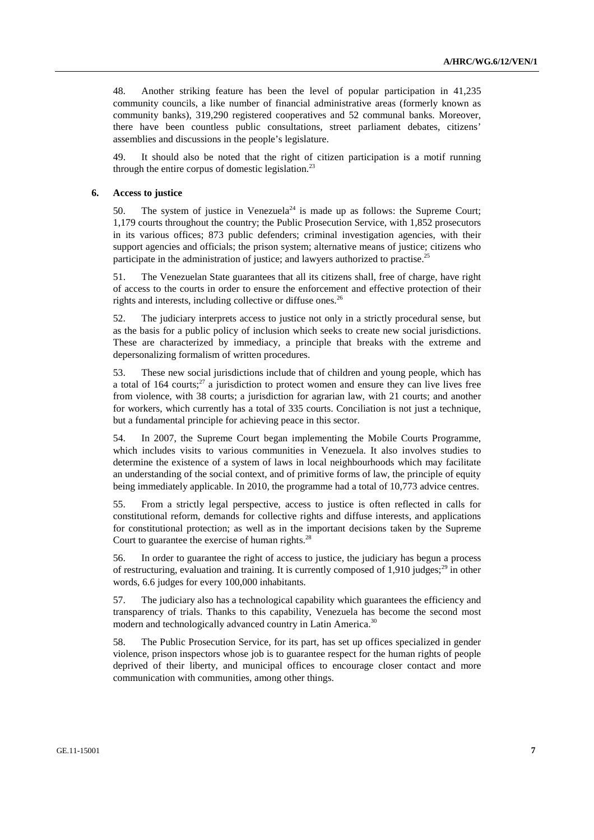48. Another striking feature has been the level of popular participation in 41,235 community councils, a like number of financial administrative areas (formerly known as community banks), 319,290 registered cooperatives and 52 communal banks. Moreover, there have been countless public consultations, street parliament debates, citizens' assemblies and discussions in the people's legislature.

49. It should also be noted that the right of citizen participation is a motif running through the entire corpus of domestic legislation.<sup>23</sup>

#### **6. Access to justice**

50. The system of justice in Venezuela<sup>24</sup> is made up as follows: the Supreme Court; 1,179 courts throughout the country; the Public Prosecution Service, with 1,852 prosecutors in its various offices; 873 public defenders; criminal investigation agencies, with their support agencies and officials; the prison system; alternative means of justice; citizens who participate in the administration of justice; and lawyers authorized to practise.<sup>25</sup>

51. The Venezuelan State guarantees that all its citizens shall, free of charge, have right of access to the courts in order to ensure the enforcement and effective protection of their rights and interests, including collective or diffuse ones.<sup>26</sup>

52. The judiciary interprets access to justice not only in a strictly procedural sense, but as the basis for a public policy of inclusion which seeks to create new social jurisdictions. These are characterized by immediacy, a principle that breaks with the extreme and depersonalizing formalism of written procedures.

53. These new social jurisdictions include that of children and young people, which has a total of 164 courts; $^{27}$  a jurisdiction to protect women and ensure they can live lives free from violence, with 38 courts; a jurisdiction for agrarian law, with 21 courts; and another for workers, which currently has a total of 335 courts. Conciliation is not just a technique, but a fundamental principle for achieving peace in this sector.

54. In 2007, the Supreme Court began implementing the Mobile Courts Programme, which includes visits to various communities in Venezuela. It also involves studies to determine the existence of a system of laws in local neighbourhoods which may facilitate an understanding of the social context, and of primitive forms of law, the principle of equity being immediately applicable. In 2010, the programme had a total of 10,773 advice centres.

55. From a strictly legal perspective, access to justice is often reflected in calls for constitutional reform, demands for collective rights and diffuse interests, and applications for constitutional protection; as well as in the important decisions taken by the Supreme Court to guarantee the exercise of human rights.<sup>28</sup>

56. In order to guarantee the right of access to justice, the judiciary has begun a process of restructuring, evaluation and training. It is currently composed of 1,910 judges;<sup>29</sup> in other words, 6.6 judges for every 100,000 inhabitants.

57. The judiciary also has a technological capability which guarantees the efficiency and transparency of trials. Thanks to this capability, Venezuela has become the second most modern and technologically advanced country in Latin America.<sup>30</sup>

58. The Public Prosecution Service, for its part, has set up offices specialized in gender violence, prison inspectors whose job is to guarantee respect for the human rights of people deprived of their liberty, and municipal offices to encourage closer contact and more communication with communities, among other things.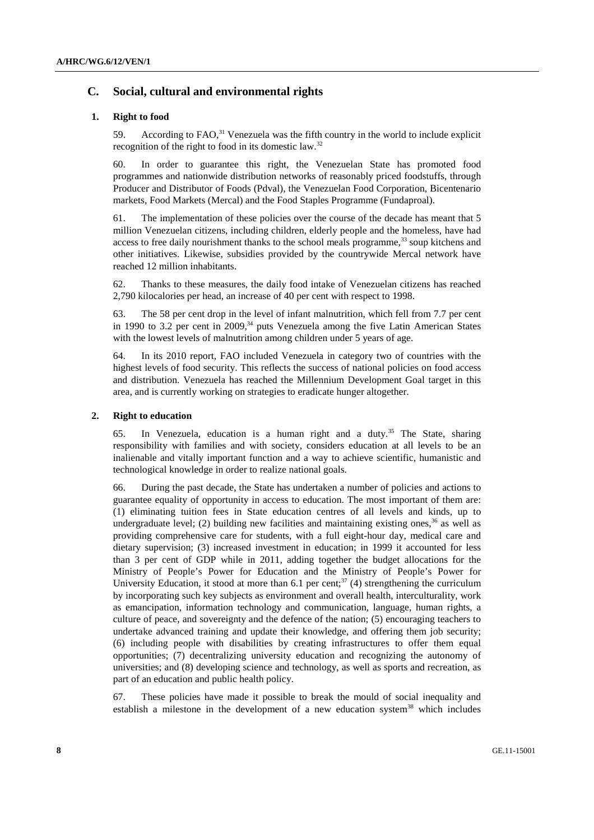### **C. Social, cultural and environmental rights**

#### **1. Right to food**

59. According to  $FAO<sup>31</sup>$  Venezuela was the fifth country in the world to include explicit recognition of the right to food in its domestic law.<sup>32</sup>

60. In order to guarantee this right, the Venezuelan State has promoted food programmes and nationwide distribution networks of reasonably priced foodstuffs, through Producer and Distributor of Foods (Pdval), the Venezuelan Food Corporation, Bicentenario markets, Food Markets (Mercal) and the Food Staples Programme (Fundaproal).

61. The implementation of these policies over the course of the decade has meant that 5 million Venezuelan citizens, including children, elderly people and the homeless, have had access to free daily nourishment thanks to the school meals programme, $33$  soup kitchens and other initiatives. Likewise, subsidies provided by the countrywide Mercal network have reached 12 million inhabitants.

62. Thanks to these measures, the daily food intake of Venezuelan citizens has reached 2,790 kilocalories per head, an increase of 40 per cent with respect to 1998.

63. The 58 per cent drop in the level of infant malnutrition, which fell from 7.7 per cent in 1990 to 3.2 per cent in  $2009$ ,<sup>34</sup> puts Venezuela among the five Latin American States with the lowest levels of malnutrition among children under 5 years of age.

64. In its 2010 report, FAO included Venezuela in category two of countries with the highest levels of food security. This reflects the success of national policies on food access and distribution. Venezuela has reached the Millennium Development Goal target in this area, and is currently working on strategies to eradicate hunger altogether.

#### **2. Right to education**

65. In Venezuela, education is a human right and a duty.<sup>35</sup> The State, sharing responsibility with families and with society, considers education at all levels to be an inalienable and vitally important function and a way to achieve scientific, humanistic and technological knowledge in order to realize national goals.

66. During the past decade, the State has undertaken a number of policies and actions to guarantee equality of opportunity in access to education. The most important of them are: (1) eliminating tuition fees in State education centres of all levels and kinds, up to undergraduate level; (2) building new facilities and maintaining existing ones,  $36$  as well as providing comprehensive care for students, with a full eight-hour day, medical care and dietary supervision; (3) increased investment in education; in 1999 it accounted for less than 3 per cent of GDP while in 2011, adding together the budget allocations for the Ministry of People's Power for Education and the Ministry of People's Power for University Education, it stood at more than 6.1 per cent;<sup>37</sup> (4) strengthening the curriculum by incorporating such key subjects as environment and overall health, interculturality, work as emancipation, information technology and communication, language, human rights, a culture of peace, and sovereignty and the defence of the nation; (5) encouraging teachers to undertake advanced training and update their knowledge, and offering them job security; (6) including people with disabilities by creating infrastructures to offer them equal opportunities; (7) decentralizing university education and recognizing the autonomy of universities; and (8) developing science and technology, as well as sports and recreation, as part of an education and public health policy.

67. These policies have made it possible to break the mould of social inequality and establish a milestone in the development of a new education system<sup>38</sup> which includes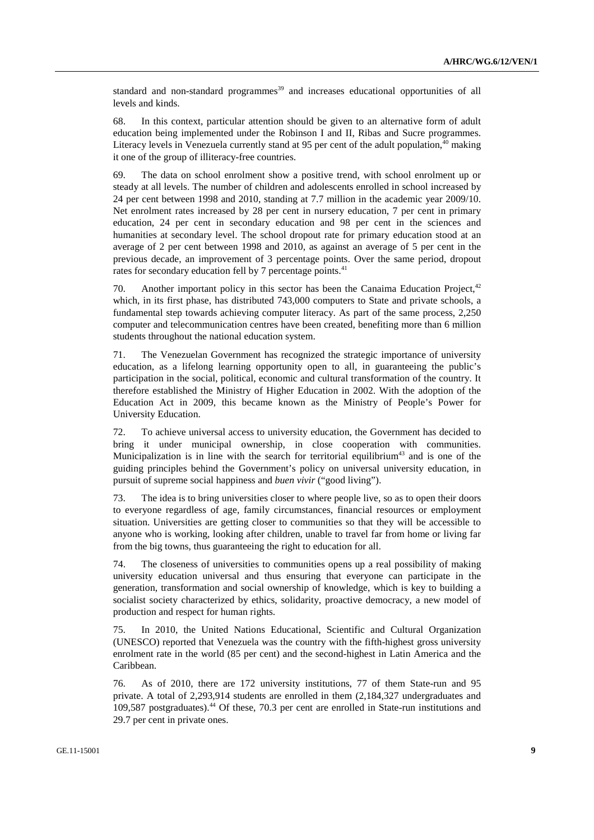standard and non-standard programmes<sup>39</sup> and increases educational opportunities of all levels and kinds.

68. In this context, particular attention should be given to an alternative form of adult education being implemented under the Robinson I and II, Ribas and Sucre programmes. Literacy levels in Venezuela currently stand at 95 per cent of the adult population,  $40$  making it one of the group of illiteracy-free countries.

69. The data on school enrolment show a positive trend, with school enrolment up or steady at all levels. The number of children and adolescents enrolled in school increased by 24 per cent between 1998 and 2010, standing at 7.7 million in the academic year 2009/10. Net enrolment rates increased by 28 per cent in nursery education, 7 per cent in primary education, 24 per cent in secondary education and 98 per cent in the sciences and humanities at secondary level. The school dropout rate for primary education stood at an average of 2 per cent between 1998 and 2010, as against an average of 5 per cent in the previous decade, an improvement of 3 percentage points. Over the same period, dropout rates for secondary education fell by 7 percentage points.<sup>41</sup>

70. Another important policy in this sector has been the Canaima Education Project.<sup>42</sup> which, in its first phase, has distributed 743,000 computers to State and private schools, a fundamental step towards achieving computer literacy. As part of the same process, 2,250 computer and telecommunication centres have been created, benefiting more than 6 million students throughout the national education system.

71. The Venezuelan Government has recognized the strategic importance of university education, as a lifelong learning opportunity open to all, in guaranteeing the public's participation in the social, political, economic and cultural transformation of the country. It therefore established the Ministry of Higher Education in 2002. With the adoption of the Education Act in 2009, this became known as the Ministry of People's Power for University Education.

72. To achieve universal access to university education, the Government has decided to bring it under municipal ownership, in close cooperation with communities. Municipalization is in line with the search for territorial equilibrium<sup>43</sup> and is one of the guiding principles behind the Government's policy on universal university education, in pursuit of supreme social happiness and *buen vivir* ("good living").

73. The idea is to bring universities closer to where people live, so as to open their doors to everyone regardless of age, family circumstances, financial resources or employment situation. Universities are getting closer to communities so that they will be accessible to anyone who is working, looking after children, unable to travel far from home or living far from the big towns, thus guaranteeing the right to education for all.

74. The closeness of universities to communities opens up a real possibility of making university education universal and thus ensuring that everyone can participate in the generation, transformation and social ownership of knowledge, which is key to building a socialist society characterized by ethics, solidarity, proactive democracy, a new model of production and respect for human rights.

75. In 2010, the United Nations Educational, Scientific and Cultural Organization (UNESCO) reported that Venezuela was the country with the fifth-highest gross university enrolment rate in the world (85 per cent) and the second-highest in Latin America and the Caribbean.

76. As of 2010, there are 172 university institutions, 77 of them State-run and 95 private. A total of 2,293,914 students are enrolled in them (2,184,327 undergraduates and 109,587 postgraduates).44 Of these, 70.3 per cent are enrolled in State-run institutions and 29.7 per cent in private ones.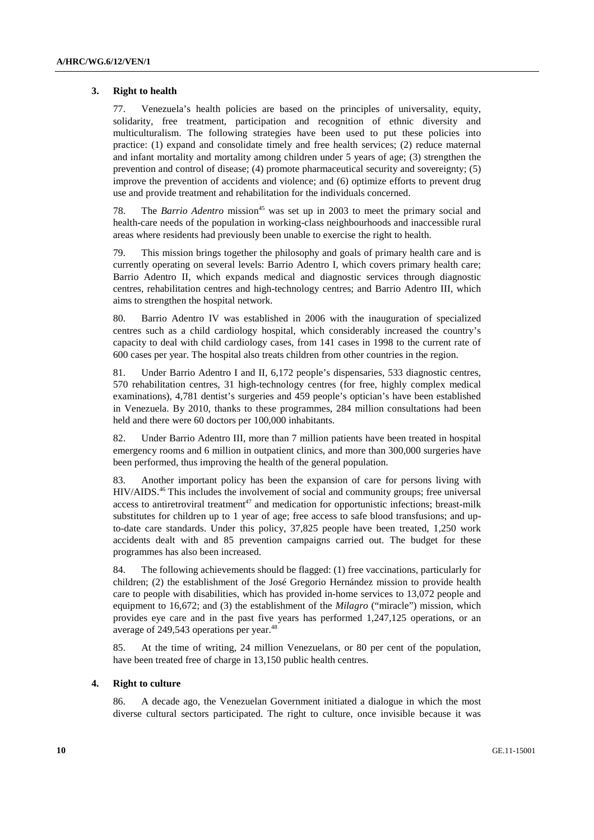#### **3. Right to health**

77. Venezuela's health policies are based on the principles of universality, equity, solidarity, free treatment, participation and recognition of ethnic diversity and multiculturalism. The following strategies have been used to put these policies into practice: (1) expand and consolidate timely and free health services; (2) reduce maternal and infant mortality and mortality among children under 5 years of age; (3) strengthen the prevention and control of disease; (4) promote pharmaceutical security and sovereignty; (5) improve the prevention of accidents and violence; and (6) optimize efforts to prevent drug use and provide treatment and rehabilitation for the individuals concerned.

78. The *Barrio Adentro* mission<sup>45</sup> was set up in 2003 to meet the primary social and health-care needs of the population in working-class neighbourhoods and inaccessible rural areas where residents had previously been unable to exercise the right to health.

79. This mission brings together the philosophy and goals of primary health care and is currently operating on several levels: Barrio Adentro I, which covers primary health care; Barrio Adentro II, which expands medical and diagnostic services through diagnostic centres, rehabilitation centres and high-technology centres; and Barrio Adentro III, which aims to strengthen the hospital network.

80. Barrio Adentro IV was established in 2006 with the inauguration of specialized centres such as a child cardiology hospital, which considerably increased the country's capacity to deal with child cardiology cases, from 141 cases in 1998 to the current rate of 600 cases per year. The hospital also treats children from other countries in the region.

81. Under Barrio Adentro I and II, 6,172 people's dispensaries, 533 diagnostic centres, 570 rehabilitation centres, 31 high-technology centres (for free, highly complex medical examinations), 4,781 dentist's surgeries and 459 people's optician's have been established in Venezuela. By 2010, thanks to these programmes, 284 million consultations had been held and there were 60 doctors per 100,000 inhabitants.

82. Under Barrio Adentro III, more than 7 million patients have been treated in hospital emergency rooms and 6 million in outpatient clinics, and more than 300,000 surgeries have been performed, thus improving the health of the general population.

83. Another important policy has been the expansion of care for persons living with HIV/AIDS.46 This includes the involvement of social and community groups; free universal access to antiretroviral treatment $47$  and medication for opportunistic infections; breast-milk substitutes for children up to 1 year of age; free access to safe blood transfusions; and upto-date care standards. Under this policy, 37,825 people have been treated, 1,250 work accidents dealt with and 85 prevention campaigns carried out. The budget for these programmes has also been increased.

84. The following achievements should be flagged: (1) free vaccinations, particularly for children; (2) the establishment of the José Gregorio Hernández mission to provide health care to people with disabilities, which has provided in-home services to 13,072 people and equipment to 16,672; and (3) the establishment of the *Milagro* ("miracle") mission, which provides eye care and in the past five years has performed 1,247,125 operations, or an average of 249,543 operations per year.<sup>48</sup>

85. At the time of writing, 24 million Venezuelans, or 80 per cent of the population, have been treated free of charge in 13,150 public health centres.

#### **4. Right to culture**

86. A decade ago, the Venezuelan Government initiated a dialogue in which the most diverse cultural sectors participated. The right to culture, once invisible because it was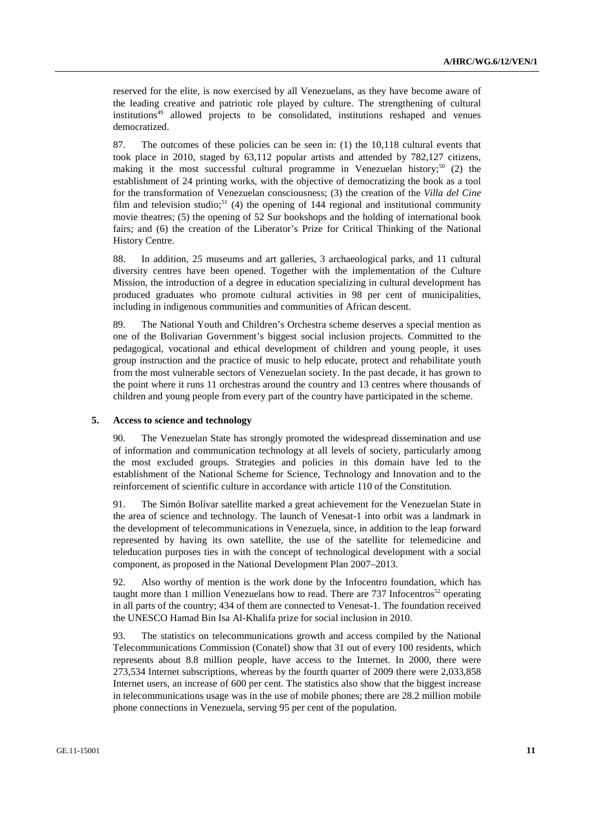reserved for the elite, is now exercised by all Venezuelans, as they have become aware of the leading creative and patriotic role played by culture. The strengthening of cultural institutions<sup>49</sup> allowed projects to be consolidated, institutions reshaped and venues democratized.

87. The outcomes of these policies can be seen in: (1) the 10,118 cultural events that took place in 2010, staged by 63,112 popular artists and attended by 782,127 citizens, making it the most successful cultural programme in Venezuelan history;<sup>50</sup> (2) the establishment of 24 printing works, with the objective of democratizing the book as a tool for the transformation of Venezuelan consciousness; (3) the creation of the *Villa del Cine* film and television studio;<sup>51</sup> (4) the opening of 144 regional and institutional community movie theatres; (5) the opening of 52 Sur bookshops and the holding of international book fairs; and (6) the creation of the Liberator's Prize for Critical Thinking of the National History Centre.

88. In addition, 25 museums and art galleries, 3 archaeological parks, and 11 cultural diversity centres have been opened. Together with the implementation of the Culture Mission, the introduction of a degree in education specializing in cultural development has produced graduates who promote cultural activities in 98 per cent of municipalities, including in indigenous communities and communities of African descent.

89. The National Youth and Children's Orchestra scheme deserves a special mention as one of the Bolivarian Government's biggest social inclusion projects. Committed to the pedagogical, vocational and ethical development of children and young people, it uses group instruction and the practice of music to help educate, protect and rehabilitate youth from the most vulnerable sectors of Venezuelan society. In the past decade, it has grown to the point where it runs 11 orchestras around the country and 13 centres where thousands of children and young people from every part of the country have participated in the scheme.

#### **5. Access to science and technology**

90. The Venezuelan State has strongly promoted the widespread dissemination and use of information and communication technology at all levels of society, particularly among the most excluded groups. Strategies and policies in this domain have led to the establishment of the National Scheme for Science, Technology and Innovation and to the reinforcement of scientific culture in accordance with article 110 of the Constitution.

91. The Simón Bolívar satellite marked a great achievement for the Venezuelan State in the area of science and technology. The launch of Venesat-1 into orbit was a landmark in the development of telecommunications in Venezuela, since, in addition to the leap forward represented by having its own satellite, the use of the satellite for telemedicine and teleducation purposes ties in with the concept of technological development with a social component, as proposed in the National Development Plan 2007–2013.

92. Also worthy of mention is the work done by the Infocentro foundation, which has taught more than 1 million Venezuelans how to read. There are 737 Infocentros<sup>52</sup> operating in all parts of the country; 434 of them are connected to Venesat-1. The foundation received the UNESCO Hamad Bin Isa Al-Khalifa prize for social inclusion in 2010.

93. The statistics on telecommunications growth and access compiled by the National Telecommunications Commission (Conatel) show that 31 out of every 100 residents, which represents about 8.8 million people, have access to the Internet. In 2000, there were 273,534 Internet subscriptions, whereas by the fourth quarter of 2009 there were 2,033,858 Internet users, an increase of 600 per cent. The statistics also show that the biggest increase in telecommunications usage was in the use of mobile phones; there are 28.2 million mobile phone connections in Venezuela, serving 95 per cent of the population.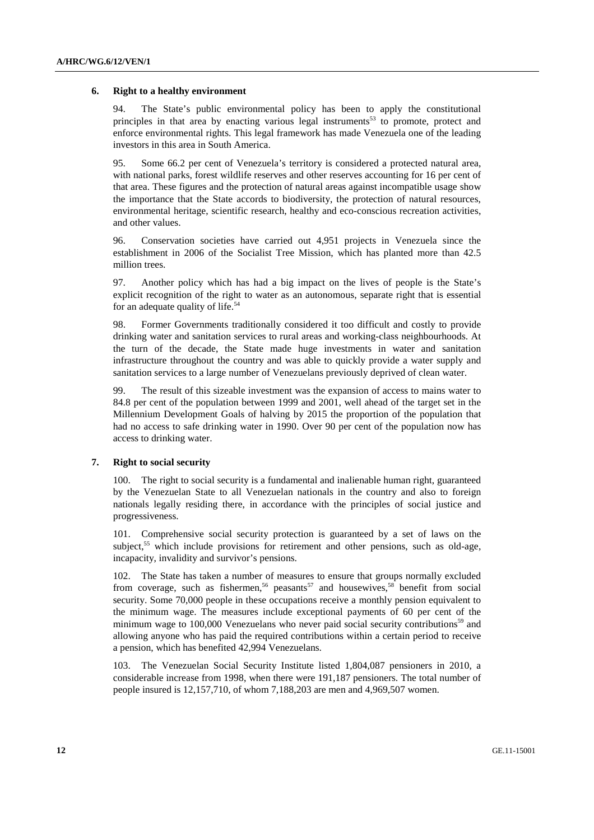#### **6. Right to a healthy environment**

94. The State's public environmental policy has been to apply the constitutional principles in that area by enacting various legal instruments<sup>53</sup> to promote, protect and enforce environmental rights. This legal framework has made Venezuela one of the leading investors in this area in South America.

95. Some 66.2 per cent of Venezuela's territory is considered a protected natural area, with national parks, forest wildlife reserves and other reserves accounting for 16 per cent of that area. These figures and the protection of natural areas against incompatible usage show the importance that the State accords to biodiversity, the protection of natural resources, environmental heritage, scientific research, healthy and eco-conscious recreation activities, and other values.

96. Conservation societies have carried out 4,951 projects in Venezuela since the establishment in 2006 of the Socialist Tree Mission, which has planted more than 42.5 million trees.

97. Another policy which has had a big impact on the lives of people is the State's explicit recognition of the right to water as an autonomous, separate right that is essential for an adequate quality of life.<sup>54</sup>

98. Former Governments traditionally considered it too difficult and costly to provide drinking water and sanitation services to rural areas and working-class neighbourhoods. At the turn of the decade, the State made huge investments in water and sanitation infrastructure throughout the country and was able to quickly provide a water supply and sanitation services to a large number of Venezuelans previously deprived of clean water.

99. The result of this sizeable investment was the expansion of access to mains water to 84.8 per cent of the population between 1999 and 2001, well ahead of the target set in the Millennium Development Goals of halving by 2015 the proportion of the population that had no access to safe drinking water in 1990. Over 90 per cent of the population now has access to drinking water.

#### **7. Right to social security**

100. The right to social security is a fundamental and inalienable human right, guaranteed by the Venezuelan State to all Venezuelan nationals in the country and also to foreign nationals legally residing there, in accordance with the principles of social justice and progressiveness.

101. Comprehensive social security protection is guaranteed by a set of laws on the subject,<sup>55</sup> which include provisions for retirement and other pensions, such as old-age, incapacity, invalidity and survivor's pensions.

102. The State has taken a number of measures to ensure that groups normally excluded from coverage, such as fishermen,<sup>56</sup> peasants<sup>57</sup> and housewives,<sup>58</sup> benefit from social security. Some 70,000 people in these occupations receive a monthly pension equivalent to the minimum wage. The measures include exceptional payments of 60 per cent of the minimum wage to  $100,000$  Venezuelans who never paid social security contributions<sup>59</sup> and allowing anyone who has paid the required contributions within a certain period to receive a pension, which has benefited 42,994 Venezuelans.

103. The Venezuelan Social Security Institute listed 1,804,087 pensioners in 2010, a considerable increase from 1998, when there were 191,187 pensioners. The total number of people insured is 12,157,710, of whom 7,188,203 are men and 4,969,507 women.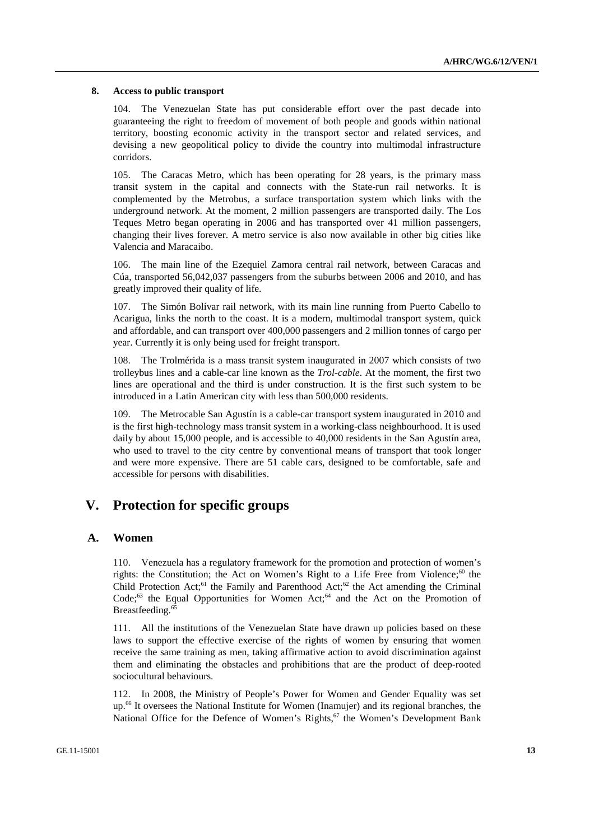#### **8. Access to public transport**

104. The Venezuelan State has put considerable effort over the past decade into guaranteeing the right to freedom of movement of both people and goods within national territory, boosting economic activity in the transport sector and related services, and devising a new geopolitical policy to divide the country into multimodal infrastructure corridors.

105. The Caracas Metro, which has been operating for 28 years, is the primary mass transit system in the capital and connects with the State-run rail networks. It is complemented by the Metrobus, a surface transportation system which links with the underground network. At the moment, 2 million passengers are transported daily. The Los Teques Metro began operating in 2006 and has transported over 41 million passengers, changing their lives forever. A metro service is also now available in other big cities like Valencia and Maracaibo.

106. The main line of the Ezequiel Zamora central rail network, between Caracas and Cúa, transported 56,042,037 passengers from the suburbs between 2006 and 2010, and has greatly improved their quality of life.

107. The Simón Bolívar rail network, with its main line running from Puerto Cabello to Acarigua, links the north to the coast. It is a modern, multimodal transport system, quick and affordable, and can transport over 400,000 passengers and 2 million tonnes of cargo per year. Currently it is only being used for freight transport.

108. The Trolmérida is a mass transit system inaugurated in 2007 which consists of two trolleybus lines and a cable-car line known as the *Trol-cable*. At the moment, the first two lines are operational and the third is under construction. It is the first such system to be introduced in a Latin American city with less than 500,000 residents.

109. The Metrocable San Agustín is a cable-car transport system inaugurated in 2010 and is the first high-technology mass transit system in a working-class neighbourhood. It is used daily by about 15,000 people, and is accessible to 40,000 residents in the San Agustín area, who used to travel to the city centre by conventional means of transport that took longer and were more expensive. There are 51 cable cars, designed to be comfortable, safe and accessible for persons with disabilities.

## **V. Protection for specific groups**

### **A. Women**

110. Venezuela has a regulatory framework for the promotion and protection of women's rights: the Constitution; the Act on Women's Right to a Life Free from Violence: $60$  the Child Protection Act;<sup>61</sup> the Family and Parenthood Act;<sup>62</sup> the Act amending the Criminal  $Code;^{63}$  the Equal Opportunities for Women Act;<sup>64</sup> and the Act on the Promotion of Breastfeeding.<sup>65</sup>

111. All the institutions of the Venezuelan State have drawn up policies based on these laws to support the effective exercise of the rights of women by ensuring that women receive the same training as men, taking affirmative action to avoid discrimination against them and eliminating the obstacles and prohibitions that are the product of deep-rooted sociocultural behaviours.

112. In 2008, the Ministry of People's Power for Women and Gender Equality was set up.66 It oversees the National Institute for Women (Inamujer) and its regional branches, the National Office for the Defence of Women's Rights,<sup>67</sup> the Women's Development Bank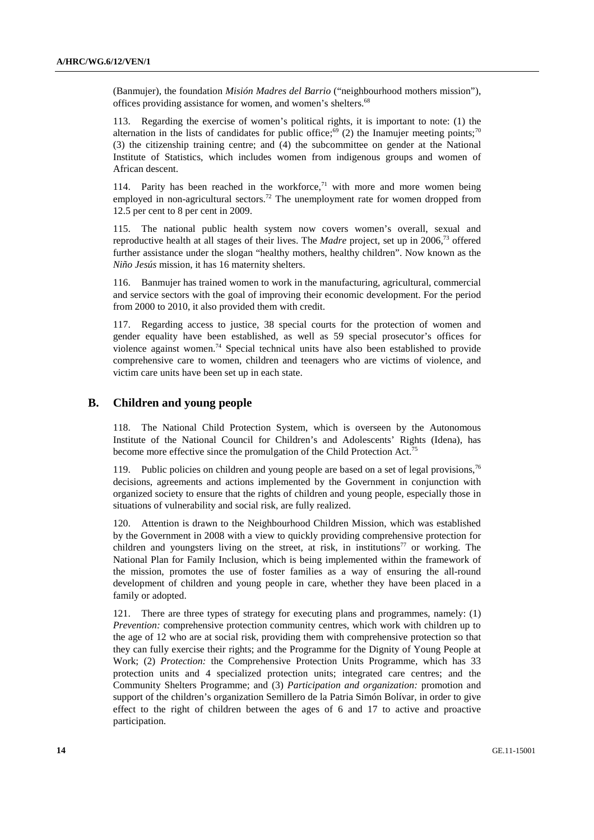(Banmujer), the foundation *Misión Madres del Barrio* ("neighbourhood mothers mission"), offices providing assistance for women, and women's shelters.<sup>68</sup>

113. Regarding the exercise of women's political rights, it is important to note: (1) the alternation in the lists of candidates for public office;<sup>69</sup> (2) the Inamujer meeting points;<sup>70</sup> (3) the citizenship training centre; and (4) the subcommittee on gender at the National Institute of Statistics, which includes women from indigenous groups and women of African descent.

114. Parity has been reached in the workforce, $71$  with more and more women being employed in non-agricultural sectors.<sup>72</sup> The unemployment rate for women dropped from 12.5 per cent to 8 per cent in 2009.

115. The national public health system now covers women's overall, sexual and reproductive health at all stages of their lives. The *Madre* project, set up in 2006,73 offered further assistance under the slogan "healthy mothers, healthy children". Now known as the *Niño Jesús* mission, it has 16 maternity shelters.

116. Banmujer has trained women to work in the manufacturing, agricultural, commercial and service sectors with the goal of improving their economic development. For the period from 2000 to 2010, it also provided them with credit.

117. Regarding access to justice, 38 special courts for the protection of women and gender equality have been established, as well as 59 special prosecutor's offices for violence against women.<sup>74</sup> Special technical units have also been established to provide comprehensive care to women, children and teenagers who are victims of violence, and victim care units have been set up in each state.

### **B. Children and young people**

118. The National Child Protection System, which is overseen by the Autonomous Institute of the National Council for Children's and Adolescents' Rights (Idena), has become more effective since the promulgation of the Child Protection Act.<sup>75</sup>

119. Public policies on children and young people are based on a set of legal provisions,<sup>76</sup> decisions, agreements and actions implemented by the Government in conjunction with organized society to ensure that the rights of children and young people, especially those in situations of vulnerability and social risk, are fully realized.

120. Attention is drawn to the Neighbourhood Children Mission, which was established by the Government in 2008 with a view to quickly providing comprehensive protection for children and youngsters living on the street, at risk, in institutions<sup>77</sup> or working. The National Plan for Family Inclusion, which is being implemented within the framework of the mission, promotes the use of foster families as a way of ensuring the all-round development of children and young people in care, whether they have been placed in a family or adopted.

121. There are three types of strategy for executing plans and programmes, namely: (1) *Prevention:* comprehensive protection community centres, which work with children up to the age of 12 who are at social risk, providing them with comprehensive protection so that they can fully exercise their rights; and the Programme for the Dignity of Young People at Work; (2) *Protection:* the Comprehensive Protection Units Programme, which has 33 protection units and 4 specialized protection units; integrated care centres; and the Community Shelters Programme; and (3) *Participation and organization:* promotion and support of the children's organization Semillero de la Patria Simón Bolívar, in order to give effect to the right of children between the ages of 6 and 17 to active and proactive participation.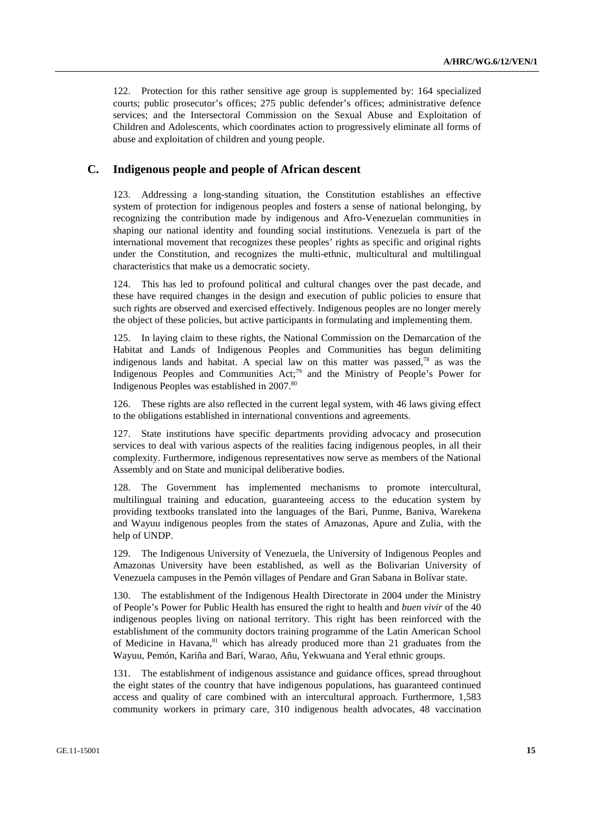122. Protection for this rather sensitive age group is supplemented by: 164 specialized courts; public prosecutor's offices; 275 public defender's offices; administrative defence services; and the Intersectoral Commission on the Sexual Abuse and Exploitation of Children and Adolescents, which coordinates action to progressively eliminate all forms of abuse and exploitation of children and young people.

### **C. Indigenous people and people of African descent**

123. Addressing a long-standing situation, the Constitution establishes an effective system of protection for indigenous peoples and fosters a sense of national belonging, by recognizing the contribution made by indigenous and Afro-Venezuelan communities in shaping our national identity and founding social institutions. Venezuela is part of the international movement that recognizes these peoples' rights as specific and original rights under the Constitution, and recognizes the multi-ethnic, multicultural and multilingual characteristics that make us a democratic society.

124. This has led to profound political and cultural changes over the past decade, and these have required changes in the design and execution of public policies to ensure that such rights are observed and exercised effectively. Indigenous peoples are no longer merely the object of these policies, but active participants in formulating and implementing them.

125. In laying claim to these rights, the National Commission on the Demarcation of the Habitat and Lands of Indigenous Peoples and Communities has begun delimiting indigenous lands and habitat. A special law on this matter was passed,<sup>78</sup> as was the Indigenous Peoples and Communities Act;<sup>79</sup> and the Ministry of People's Power for Indigenous Peoples was established in 2007.<sup>80</sup>

126. These rights are also reflected in the current legal system, with 46 laws giving effect to the obligations established in international conventions and agreements.

127. State institutions have specific departments providing advocacy and prosecution services to deal with various aspects of the realities facing indigenous peoples, in all their complexity. Furthermore, indigenous representatives now serve as members of the National Assembly and on State and municipal deliberative bodies.

128. The Government has implemented mechanisms to promote intercultural, multilingual training and education, guaranteeing access to the education system by providing textbooks translated into the languages of the Bari, Punme, Baniva, Warekena and Wayuu indigenous peoples from the states of Amazonas, Apure and Zulia, with the help of UNDP.

129. The Indigenous University of Venezuela, the University of Indigenous Peoples and Amazonas University have been established, as well as the Bolivarian University of Venezuela campuses in the Pemón villages of Pendare and Gran Sabana in Bolívar state.

130. The establishment of the Indigenous Health Directorate in 2004 under the Ministry of People's Power for Public Health has ensured the right to health and *buen vivir* of the 40 indigenous peoples living on national territory. This right has been reinforced with the establishment of the community doctors training programme of the Latin American School of Medicine in Havana,<sup>81</sup> which has already produced more than 21 graduates from the Wayuu, Pemón, Kariña and Barí, Warao, Añu, Yekwuana and Yeral ethnic groups.

131. The establishment of indigenous assistance and guidance offices, spread throughout the eight states of the country that have indigenous populations, has guaranteed continued access and quality of care combined with an intercultural approach. Furthermore, 1,583 community workers in primary care, 310 indigenous health advocates, 48 vaccination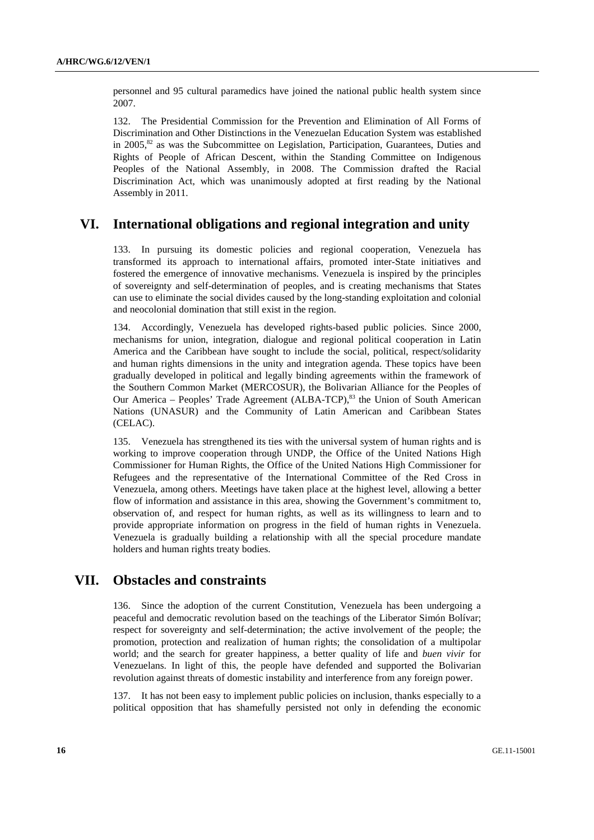personnel and 95 cultural paramedics have joined the national public health system since 2007.

132. The Presidential Commission for the Prevention and Elimination of All Forms of Discrimination and Other Distinctions in the Venezuelan Education System was established in  $2005$ <sup>82</sup> as was the Subcommittee on Legislation, Participation, Guarantees, Duties and Rights of People of African Descent, within the Standing Committee on Indigenous Peoples of the National Assembly, in 2008. The Commission drafted the Racial Discrimination Act, which was unanimously adopted at first reading by the National Assembly in 2011.

## **VI. International obligations and regional integration and unity**

133. In pursuing its domestic policies and regional cooperation, Venezuela has transformed its approach to international affairs, promoted inter-State initiatives and fostered the emergence of innovative mechanisms. Venezuela is inspired by the principles of sovereignty and self-determination of peoples, and is creating mechanisms that States can use to eliminate the social divides caused by the long-standing exploitation and colonial and neocolonial domination that still exist in the region.

Accordingly, Venezuela has developed rights-based public policies. Since 2000, mechanisms for union, integration, dialogue and regional political cooperation in Latin America and the Caribbean have sought to include the social, political, respect/solidarity and human rights dimensions in the unity and integration agenda. These topics have been gradually developed in political and legally binding agreements within the framework of the Southern Common Market (MERCOSUR), the Bolivarian Alliance for the Peoples of Our America – Peoples' Trade Agreement (ALBA-TCP),  $83$  the Union of South American Nations (UNASUR) and the Community of Latin American and Caribbean States (CELAC).

135. Venezuela has strengthened its ties with the universal system of human rights and is working to improve cooperation through UNDP, the Office of the United Nations High Commissioner for Human Rights, the Office of the United Nations High Commissioner for Refugees and the representative of the International Committee of the Red Cross in Venezuela, among others. Meetings have taken place at the highest level, allowing a better flow of information and assistance in this area, showing the Government's commitment to, observation of, and respect for human rights, as well as its willingness to learn and to provide appropriate information on progress in the field of human rights in Venezuela. Venezuela is gradually building a relationship with all the special procedure mandate holders and human rights treaty bodies.

# **VII. Obstacles and constraints**

136. Since the adoption of the current Constitution, Venezuela has been undergoing a peaceful and democratic revolution based on the teachings of the Liberator Simón Bolívar; respect for sovereignty and self-determination; the active involvement of the people; the promotion, protection and realization of human rights; the consolidation of a multipolar world; and the search for greater happiness, a better quality of life and *buen vivir* for Venezuelans. In light of this, the people have defended and supported the Bolivarian revolution against threats of domestic instability and interference from any foreign power.

137. It has not been easy to implement public policies on inclusion, thanks especially to a political opposition that has shamefully persisted not only in defending the economic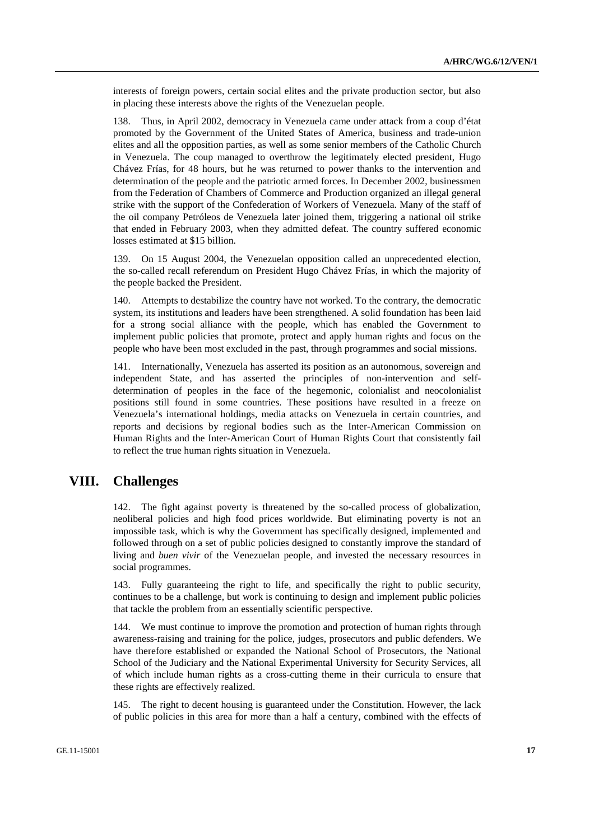interests of foreign powers, certain social elites and the private production sector, but also in placing these interests above the rights of the Venezuelan people.

138. Thus, in April 2002, democracy in Venezuela came under attack from a coup d'état promoted by the Government of the United States of America, business and trade-union elites and all the opposition parties, as well as some senior members of the Catholic Church in Venezuela. The coup managed to overthrow the legitimately elected president, Hugo Chávez Frías, for 48 hours, but he was returned to power thanks to the intervention and determination of the people and the patriotic armed forces. In December 2002, businessmen from the Federation of Chambers of Commerce and Production organized an illegal general strike with the support of the Confederation of Workers of Venezuela. Many of the staff of the oil company Petróleos de Venezuela later joined them, triggering a national oil strike that ended in February 2003, when they admitted defeat. The country suffered economic losses estimated at \$15 billion.

139. On 15 August 2004, the Venezuelan opposition called an unprecedented election, the so-called recall referendum on President Hugo Chávez Frías, in which the majority of the people backed the President.

140. Attempts to destabilize the country have not worked. To the contrary, the democratic system, its institutions and leaders have been strengthened. A solid foundation has been laid for a strong social alliance with the people, which has enabled the Government to implement public policies that promote, protect and apply human rights and focus on the people who have been most excluded in the past, through programmes and social missions.

141. Internationally, Venezuela has asserted its position as an autonomous, sovereign and independent State, and has asserted the principles of non-intervention and selfdetermination of peoples in the face of the hegemonic, colonialist and neocolonialist positions still found in some countries. These positions have resulted in a freeze on Venezuela's international holdings, media attacks on Venezuela in certain countries, and reports and decisions by regional bodies such as the Inter-American Commission on Human Rights and the Inter-American Court of Human Rights Court that consistently fail to reflect the true human rights situation in Venezuela.

# **VIII. Challenges**

142. The fight against poverty is threatened by the so-called process of globalization, neoliberal policies and high food prices worldwide. But eliminating poverty is not an impossible task, which is why the Government has specifically designed, implemented and followed through on a set of public policies designed to constantly improve the standard of living and *buen vivir* of the Venezuelan people, and invested the necessary resources in social programmes.

143. Fully guaranteeing the right to life, and specifically the right to public security, continues to be a challenge, but work is continuing to design and implement public policies that tackle the problem from an essentially scientific perspective.

144. We must continue to improve the promotion and protection of human rights through awareness-raising and training for the police, judges, prosecutors and public defenders. We have therefore established or expanded the National School of Prosecutors, the National School of the Judiciary and the National Experimental University for Security Services, all of which include human rights as a cross-cutting theme in their curricula to ensure that these rights are effectively realized.

145. The right to decent housing is guaranteed under the Constitution. However, the lack of public policies in this area for more than a half a century, combined with the effects of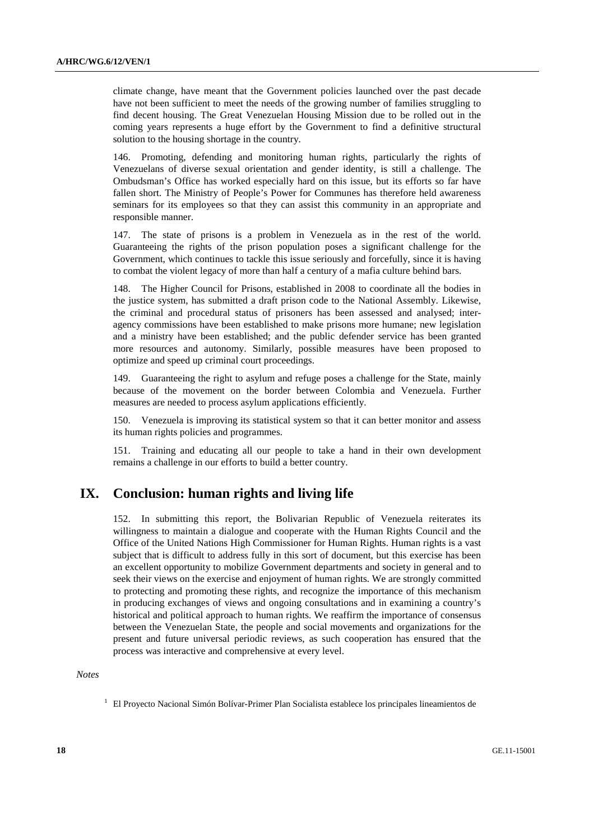climate change, have meant that the Government policies launched over the past decade have not been sufficient to meet the needs of the growing number of families struggling to find decent housing. The Great Venezuelan Housing Mission due to be rolled out in the coming years represents a huge effort by the Government to find a definitive structural solution to the housing shortage in the country.

146. Promoting, defending and monitoring human rights, particularly the rights of Venezuelans of diverse sexual orientation and gender identity, is still a challenge. The Ombudsman's Office has worked especially hard on this issue, but its efforts so far have fallen short. The Ministry of People's Power for Communes has therefore held awareness seminars for its employees so that they can assist this community in an appropriate and responsible manner.

147. The state of prisons is a problem in Venezuela as in the rest of the world. Guaranteeing the rights of the prison population poses a significant challenge for the Government, which continues to tackle this issue seriously and forcefully, since it is having to combat the violent legacy of more than half a century of a mafia culture behind bars.

148. The Higher Council for Prisons, established in 2008 to coordinate all the bodies in the justice system, has submitted a draft prison code to the National Assembly. Likewise, the criminal and procedural status of prisoners has been assessed and analysed; interagency commissions have been established to make prisons more humane; new legislation and a ministry have been established; and the public defender service has been granted more resources and autonomy. Similarly, possible measures have been proposed to optimize and speed up criminal court proceedings.

149. Guaranteeing the right to asylum and refuge poses a challenge for the State, mainly because of the movement on the border between Colombia and Venezuela. Further measures are needed to process asylum applications efficiently.

150. Venezuela is improving its statistical system so that it can better monitor and assess its human rights policies and programmes.

151. Training and educating all our people to take a hand in their own development remains a challenge in our efforts to build a better country.

# **IX. Conclusion: human rights and living life**

152. In submitting this report, the Bolivarian Republic of Venezuela reiterates its willingness to maintain a dialogue and cooperate with the Human Rights Council and the Office of the United Nations High Commissioner for Human Rights. Human rights is a vast subject that is difficult to address fully in this sort of document, but this exercise has been an excellent opportunity to mobilize Government departments and society in general and to seek their views on the exercise and enjoyment of human rights. We are strongly committed to protecting and promoting these rights, and recognize the importance of this mechanism in producing exchanges of views and ongoing consultations and in examining a country's historical and political approach to human rights. We reaffirm the importance of consensus between the Venezuelan State, the people and social movements and organizations for the present and future universal periodic reviews, as such cooperation has ensured that the process was interactive and comprehensive at every level.

 *Notes* 

<sup>&</sup>lt;sup>1</sup> El Proyecto Nacional Simón Bolívar-Primer Plan Socialista establece los principales lineamientos de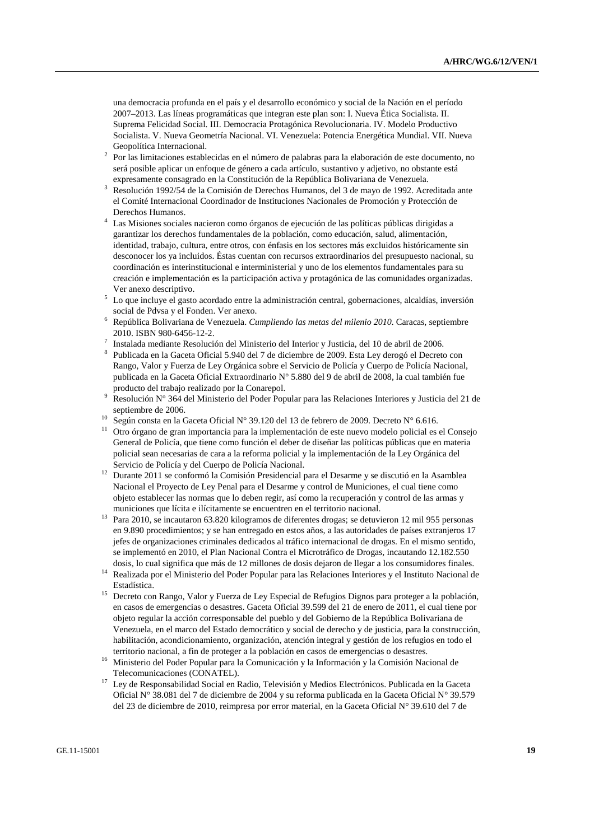una democracia profunda en el país y el desarrollo económico y social de la Nación en el período 2007–2013. Las líneas programáticas que integran este plan son: I. Nueva Ética Socialista. II. Suprema Felicidad Social. III. Democracia Protagónica Revolucionaria. IV. Modelo Productivo Socialista. V. Nueva Geometría Nacional. VI. Venezuela: Potencia Energética Mundial. VII. Nueva Geopolítica Internacional.

- Por las limitaciones establecidas en el número de palabras para la elaboración de este documento, no será posible aplicar un enfoque de género a cada artículo, sustantivo y adjetivo, no obstante está expresamente consagrado en la Constitución de la República Bolivariana de Venezuela. 3
- Resolución 1992/54 de la Comisión de Derechos Humanos, del 3 de mayo de 1992. Acreditada ante el Comité Internacional Coordinador de Instituciones Nacionales de Promoción y Protección de Derechos Humanos.
- Las Misiones sociales nacieron como órganos de ejecución de las políticas públicas dirigidas a garantizar los derechos fundamentales de la población, como educación, salud, alimentación, identidad, trabajo, cultura, entre otros, con énfasis en los sectores más excluidos históricamente sin desconocer los ya incluidos. Éstas cuentan con recursos extraordinarios del presupuesto nacional, su coordinación es interinstitucional e interministerial y uno de los elementos fundamentales para su creación e implementación es la participación activa y protagónica de las comunidades organizadas.
- Ver anexo descriptivo. 5 Lo que incluye el gasto acordado entre la administración central, gobernaciones, alcaldías, inversión social de Pdvsa y el Fonden. Ver anexo.
- República Bolivariana de Venezuela. *Cumpliendo las metas del milenio 2010.* Caracas, septiembre 2010. ISBN 980-6456-12-2. 7
- Instalada mediante Resolución del Ministerio del Interior y Justicia, del 10 de abril de 2006.
- 8 Publicada en la Gaceta Oficial 5.940 del 7 de diciembre de 2009. Esta Ley derogó el Decreto con Rango, Valor y Fuerza de Ley Orgánica sobre el Servicio de Policía y Cuerpo de Policía Nacional, publicada en la Gaceta Oficial Extraordinario N° 5.880 del 9 de abril de 2008, la cual también fue producto del trabajo realizado por la Conarepol. 9
- Resolución N° 364 del Ministerio del Poder Popular para las Relaciones Interiores y Justicia del 21 de septiembre de 2006.<br><sup>10</sup> Según consta en la Gaceta Oficial N° 39.120 del 13 de febrero de 2009. Decreto N° 6.616.
- 
- 11 Otro órgano de gran importancia para la implementación de este nuevo modelo policial es el Consejo General de Policía, que tiene como función el deber de diseñar las políticas públicas que en materia policial sean necesarias de cara a la reforma policial y la implementación de la Ley Orgánica del
- Servicio de Policía y del Cuerpo de Policía Nacional. 12 Durante 2011 se conformó la Comisión Presidencial para el Desarme y se discutió en la Asamblea Nacional el Proyecto de Ley Penal para el Desarme y control de Municiones, el cual tiene como objeto establecer las normas que lo deben regir, así como la recuperación y control de las armas y
- municiones que lícita e ilícitamente se encuentren en el territorio nacional. 13 Para 2010, se incautaron 63.820 kilogramos de diferentes drogas; se detuvieron 12 mil 955 personas en 9.890 procedimientos; y se han entregado en estos años, a las autoridades de países extranjeros 17 jefes de organizaciones criminales dedicados al tráfico internacional de drogas. En el mismo sentido, se implementó en 2010, el Plan Nacional Contra el Microtráfico de Drogas, incautando 12.182.550
- dosis, lo cual significa que más de 12 millones de dosis dejaron de llegar a los consumidores finales. 14 Realizada por el Ministerio del Poder Popular para las Relaciones Interiores y el Instituto Nacional de
- Estadística. 15 Decreto con Rango, Valor y Fuerza de Ley Especial de Refugios Dignos para proteger a la población, en casos de emergencias o desastres. Gaceta Oficial 39.599 del 21 de enero de 2011, el cual tiene por objeto regular la acción corresponsable del pueblo y del Gobierno de la República Bolivariana de Venezuela, en el marco del Estado democrático y social de derecho y de justicia, para la construcción, habilitación, acondicionamiento, organización, atención integral y gestión de los refugios en todo el
- territorio nacional, a fin de proteger a la población en casos de emergencias o desastres.<br><sup>16</sup> Ministerio del Poder Popular para la Comunicación y la Información y la Comisión Nacional de Telecomunicaciones (CONATEL).
- <sup>17</sup> Ley de Responsabilidad Social en Radio, Televisión y Medios Electrónicos. Publicada en la Gaceta Oficial N° 38.081 del 7 de diciembre de 2004 y su reforma publicada en la Gaceta Oficial N° 39.579 del 23 de diciembre de 2010, reimpresa por error material, en la Gaceta Oficial N° 39.610 del 7 de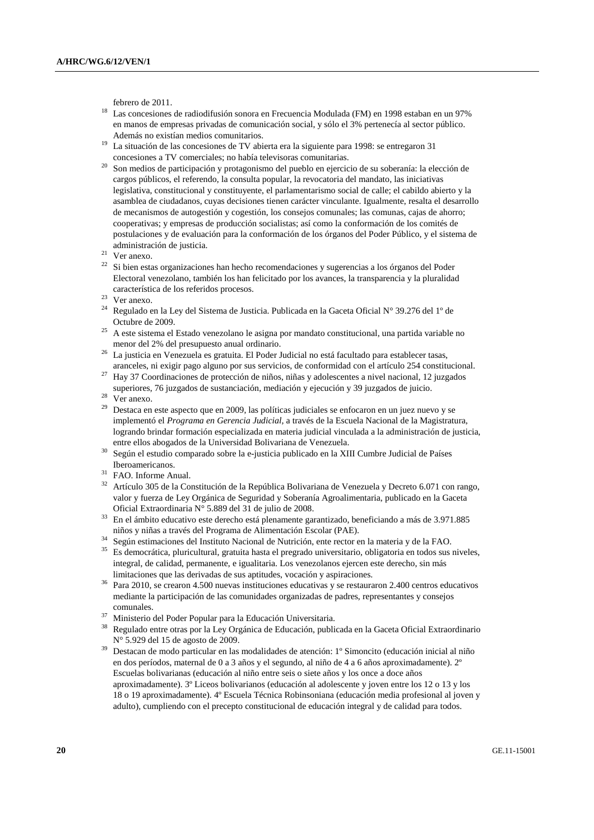- febrero de 2011. 18 Las concesiones de radiodifusión sonora en Frecuencia Modulada (FM) en 1998 estaban en un 97% en manos de empresas privadas de comunicación social, y sólo el 3% pertenecía al sector público. Además no existían medios comunitarios.<br><sup>19</sup> La situación de las concesiones de TV abierta era la siguiente para 1998: se entregaron 31
- 
- concesiones a TV comerciales; no había televisoras comunitarias.<br>Son medios de participación y protagonismo del pueblo en ejercicio de su soberanía: la elección de cargos públicos, el referendo, la consulta popular, la revocatoria del mandato, las iniciativas legislativa, constitucional y constituyente, el parlamentarismo social de calle; el cabildo abierto y la asamblea de ciudadanos, cuyas decisiones tienen carácter vinculante. Igualmente, resalta el desarrollo de mecanismos de autogestión y cogestión, los consejos comunales; las comunas, cajas de ahorro; cooperativas; y empresas de producción socialistas; así como la conformación de los comités de postulaciones y de evaluación para la conformación de los órganos del Poder Público, y el sistema de administración de justicia. 21 Ver anexo.
- 
- $22$  Si bien estas organizaciones han hecho recomendaciones y sugerencias a los órganos del Poder Electoral venezolano, también los han felicitado por los avances, la transparencia y la pluralidad característica de los referidos procesos. 23 Ver anexo.
- 
- <sup>24</sup> Regulado en la Ley del Sistema de Justicia. Publicada en la Gaceta Oficial N° 39.276 del 1° de Octubre de 2009.<br>A este sistema el Estado venezolano le asigna por mandato constitucional, una partida variable no
- menor del 2% del presupuesto anual ordinario. 26 La justicia en Venezuela es gratuita. El Poder Judicial no está facultado para establecer tasas,
- aranceles, ni exigir pago alguno por sus servicios, de conformidad con el artículo 254 constitucional. 27 Hay 37 Coordinaciones de protección de niños, niñas y adolescentes a nivel nacional, 12 juzgados
- superiores, 76 juzgados de sustanciación, mediación y ejecución y 39 juzgados de juicio. $^{28}$  Ver anexo.
- 
- <sup>29</sup> Destaca en este aspecto que en 2009, las políticas judiciales se enfocaron en un juez nuevo y se implementó el *Programa en Gerencia Judicial,* a través de la Escuela Nacional de la Magistratura, logrando brindar formación especializada en materia judicial vinculada a la administración de justicia,
- entre ellos abogados de la Universidad Bolivariana de Venezuela. 30 Según el estudio comparado sobre la e-justicia publicado en la XIII Cumbre Judicial de Países Iberoamericanos. 31 FAO. Informe Anual.
- 
- 32 Artículo 305 de la Constitución de la República Bolivariana de Venezuela y Decreto 6.071 con rango, valor y fuerza de Ley Orgánica de Seguridad y Soberanía Agroalimentaria, publicado en la Gaceta
- Oficial Extraordinaria N° 5.889 del 31 de julio de 2008.<br><sup>33</sup> En el ámbito educativo este derecho está plenamente garantizado, beneficiando a más de 3.971.885 niños v niñas a través del Programa de Alimentación Escolar (P
- <sup>34</sup> Según estimaciones del Instituto Nacional de Nutrición, ente rector en la materia y de la FAO.
- 35 Es democrática, pluricultural, gratuita hasta el pregrado universitario, obligatoria en todos sus niveles, integral, de calidad, permanente, e igualitaria. Los venezolanos ejercen este derecho, sin más
- limitaciones que las derivadas de sus aptitudes, vocación y aspiraciones.<br>Para 2010, se crearon 4.500 nuevas instituciones educativas y se restauraron 2.400 centros educativos mediante la participación de las comunidades organizadas de padres, representantes y consejos comunales. 37 Ministerio del Poder Popular para la Educación Universitaria.
- 
- 38 Regulado entre otras por la Ley Orgánica de Educación, publicada en la Gaceta Oficial Extraordinario N° 5.929 del 15 de agosto de 2009.<br>Destacan de modo particular en las modalidades de atención: 1º Simoncito (educación inicial al niño
- en dos períodos, maternal de 0 a 3 años y el segundo, al niño de 4 a 6 años aproximadamente). 2º Escuelas bolivarianas (educación al niño entre seis o siete años y los once a doce años aproximadamente). 3º Liceos bolivarianos (educación al adolescente y joven entre los 12 o 13 y los 18 o 19 aproximadamente). 4º Escuela Técnica Robinsoniana (educación media profesional al joven y adulto), cumpliendo con el precepto constitucional de educación integral y de calidad para todos.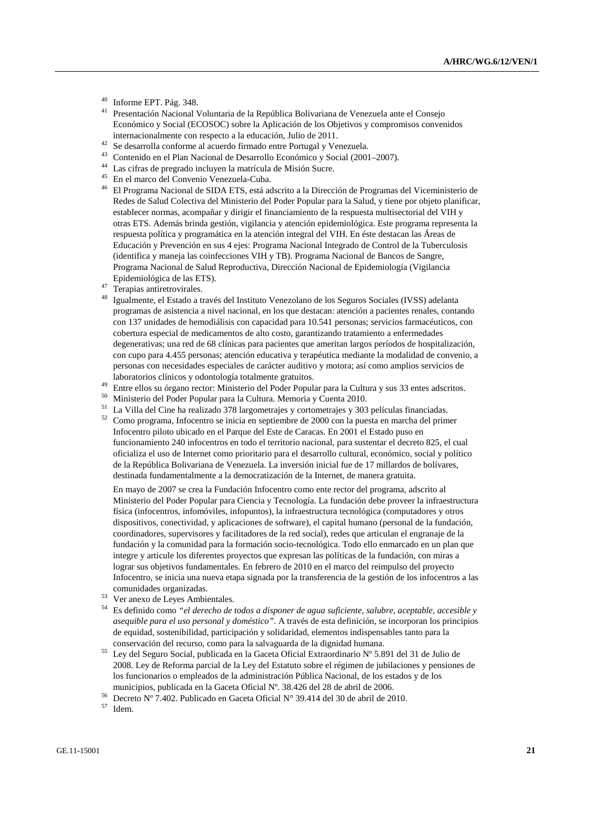- $^{40}$  Informe EPT. Pág. 348.
- 41 Presentación Nacional Voluntaria de la República Bolivariana de Venezuela ante el Consejo Económico y Social (ECOSOC) sobre la Aplicación de los Objetivos y compromisos convenidos internacionalmente con respecto a la educación, Julio de 2011. 42 Se desarrolla conforme al acuerdo firmado entre Portugal y Venezuela.
- 
- 43 Contenido en el Plan Nacional de Desarrollo Económico y Social (2001–2007).
- 44 Las cifras de pregrado incluyen la matrícula de Misión Sucre.
- 45 En el marco del Convenio Venezuela-Cuba.
- 46 El Programa Nacional de SIDA ETS, está adscrito a la Dirección de Programas del Viceministerio de Redes de Salud Colectiva del Ministerio del Poder Popular para la Salud, y tiene por objeto planificar, establecer normas, acompañar y dirigir el financiamiento de la respuesta multisectorial del VIH y otras ETS. Además brinda gestión, vigilancia y atención epidemiológica. Este programa representa la respuesta política y programática en la atención integral del VIH. En éste destacan las Áreas de Educación y Prevención en sus 4 ejes: Programa Nacional Integrado de Control de la Tuberculosis (identifica y maneja las coinfecciones VIH y TB). Programa Nacional de Bancos de Sangre, Programa Nacional de Salud Reproductiva, Dirección Nacional de Epidemiología (Vigilancia Epidemiológica de las ETS). 47 Terapias antiretrovirales.
- 
- 48 Igualmente, el Estado a través del Instituto Venezolano de los Seguros Sociales (IVSS) adelanta programas de asistencia a nivel nacional, en los que destacan: atención a pacientes renales, contando con 137 unidades de hemodiálisis con capacidad para 10.541 personas; servicios farmacéuticos, con cobertura especial de medicamentos de alto costo, garantizando tratamiento a enfermedades degenerativas; una red de 68 clínicas para pacientes que ameritan largos períodos de hospitalización, con cupo para 4.455 personas; atención educativa y terapéutica mediante la modalidad de convenio, a personas con necesidades especiales de carácter auditivo y motora; así como amplios servicios de
- laboratorios clínicos y odontología totalmente gratuitos.<br>
<sup>49</sup> Entre ellos su órgano rector: Ministerio del Poder Popular para la Cultura y sus 33 entes adscritos.<br>
<sup>50</sup> Ministerio del Poder Popular para la Cultura. Memor
- 
- $^{51}$  La Villa del Cine ha realizado 378 largometrajes y cortometrajes y 303 películas financiadas.<br> $^{52}$  Cause are exemple Infraentra es inicia en estribular de 2000 este la mestra en mestra del minim
- 52 Como programa, Infocentro se inicia en septiembre de 2000 con la puesta en marcha del primer Infocentro piloto ubicado en el Parque del Este de Caracas. En 2001 el Estado puso en funcionamiento 240 infocentros en todo el territorio nacional, para sustentar el decreto 825, el cual oficializa el uso de Internet como prioritario para el desarrollo cultural, económico, social y político de la República Bolivariana de Venezuela. La inversión inicial fue de 17 millardos de bolívares, destinada fundamentalmente a la democratización de la Internet, de manera gratuita.

 En mayo de 2007 se crea la Fundación Infocentro como ente rector del programa, adscrito al Ministerio del Poder Popular para Ciencia y Tecnología. La fundación debe proveer la infraestructura física (infocentros, infomóviles, infopuntos), la infraestructura tecnológica (computadores y otros dispositivos, conectividad, y aplicaciones de software), el capital humano (personal de la fundación, coordinadores, supervisores y facilitadores de la red social), redes que articulan el engranaje de la fundación y la comunidad para la formación socio-tecnológica. Todo ello enmarcado en un plan que integre y articule los diferentes proyectos que expresan las políticas de la fundación, con miras a lograr sus objetivos fundamentales. En febrero de 2010 en el marco del reimpulso del proyecto Infocentro, se inicia una nueva etapa signada por la transferencia de la gestión de los infocentros a las comunidades organizadas. 53 Ver anexo de Leyes Ambientales.

- 
- 54 Es definido como *"el derecho de todos a disponer de agua suficiente, salubre, aceptable, accesible y asequible para el uso personal y doméstico".* A través de esta definición, se incorporan los principios de equidad, sostenibilidad, participación y solidaridad, elementos indispensables tanto para la
- conservación del recurso, como para la salvaguarda de la dignidad humana. 55 Ley del Seguro Social, publicada en la Gaceta Oficial Extraordinario Nº 5.891 del 31 de Julio de 2008. Ley de Reforma parcial de la Ley del Estatuto sobre el régimen de jubilaciones y pensiones de los funcionarios o empleados de la administración Pública Nacional, de los estados y de los
- municipios, publicada en la Gaceta Oficial Nº. 38.426 del 28 de abril de 2006. 56 Decreto Nº 7.402. Publicado en Gaceta Oficial N° 39.414 del 30 de abril de 2010. 57 Idem.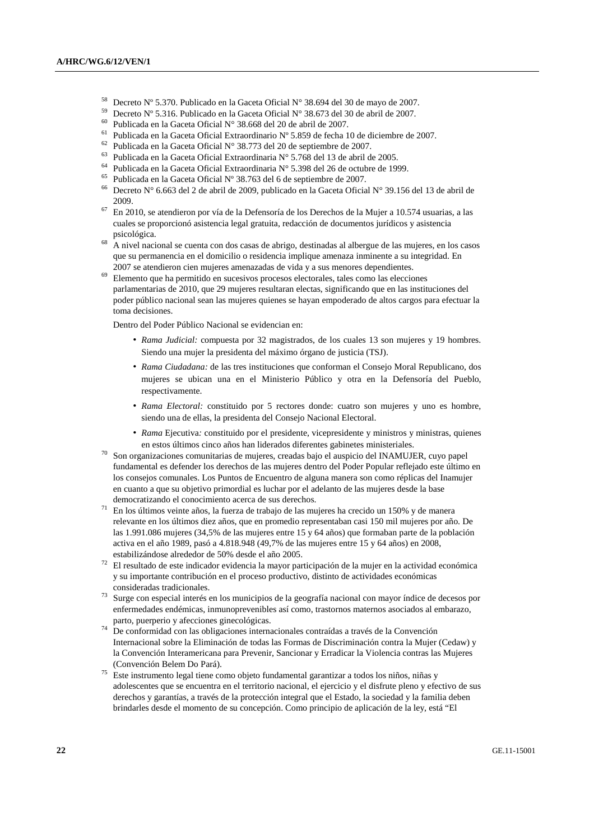- <sup>58</sup> Decreto N° 5.370. Publicado en la Gaceta Oficial N° 38.694 del 30 de mayo de 2007.
- <sup>59</sup> Decreto N° 5.316. Publicado en la Gaceta Oficial N° 38.673 del 30 de abril de 2007.
- 60 Publicada en la Gaceta Oficial N° 38.668 del 20 de abril de 2007.
- <sup>61</sup> Publicada en la Gaceta Oficial Extraordinario Nº 5.859 de fecha 10 de diciembre de 2007.<br><sup>62</sup> Publicada en la Gaceta Oficial Nº 38.773 del 20 de sentiembre de 2007.
- <sup>62</sup> Publicada en la Gaceta Oficial N° 38.773 del 20 de septiembre de 2007.
- 63 Publicada en la Gaceta Oficial Extraordinaria N° 5.768 del 13 de abril de 2005.
- 64 Publicada en la Gaceta Oficial Extraordinaria N° 5.398 del 26 de octubre de 1999.
- <sup>65</sup> Publicada en la Gaceta Oficial N° 38.763 del 6 de septiembre de 2007.<br><sup>66</sup> Decrete N° 6.663 del 3 de spril de 2000, publicade en la Gaseta Oficial
- 66 Decreto N° 6.663 del 2 de abril de 2009, publicado en la Gaceta Oficial N° 39.156 del 13 de abril de
- 2009. 67 En 2010, se atendieron por vía de la Defensoría de los Derechos de la Mujer a 10.574 usuarias, a las cuales se proporcionó asistencia legal gratuita, redacción de documentos jurídicos y asistencia
- psicológica. 68 A nivel nacional se cuenta con dos casas de abrigo, destinadas al albergue de las mujeres, en los casos que su permanencia en el domicilio o residencia implique amenaza inminente a su integridad. En
- 2007 se atendieron cien mujeres amenazadas de vida y a sus menores dependientes. 69 Elemento que ha permitido en sucesivos procesos electorales, tales como las elecciones parlamentarias de 2010, que 29 mujeres resultaran electas, significando que en las instituciones del poder público nacional sean las mujeres quienes se hayan empoderado de altos cargos para efectuar la toma decisiones.

Dentro del Poder Público Nacional se evidencian en:

- *Rama Judicial:* compuesta por 32 magistrados, de los cuales 13 son mujeres y 19 hombres. Siendo una mujer la presidenta del máximo órgano de justicia (TSJ).
- *Rama Ciudadana:* de las tres instituciones que conforman el Consejo Moral Republicano, dos mujeres se ubican una en el Ministerio Público y otra en la Defensoría del Pueblo, respectivamente.
- *Rama Electoral:* constituido por 5 rectores donde: cuatro son mujeres y uno es hombre, siendo una de ellas, la presidenta del Consejo Nacional Electoral.
- *Rama* Ejecutiva*:* constituido por el presidente, vicepresidente y ministros y ministras, quienes en estos últimos cinco años han liderados diferentes gabinetes ministeriales.
- 70 Son organizaciones comunitarias de mujeres, creadas bajo el auspicio del INAMUJER, cuyo papel fundamental es defender los derechos de las mujeres dentro del Poder Popular reflejado este último en los consejos comunales. Los Puntos de Encuentro de alguna manera son como réplicas del Inamujer en cuanto a que su objetivo primordial es luchar por el adelanto de las mujeres desde la base
- democratizando el conocimiento acerca de sus derechos. 71 En los últimos veinte años, la fuerza de trabajo de las mujeres ha crecido un 150% y de manera relevante en los últimos diez años, que en promedio representaban casi 150 mil mujeres por año. De las 1.991.086 mujeres (34,5% de las mujeres entre 15 y 64 años) que formaban parte de la población activa en el año 1989, pasó a 4.818.948 (49,7% de las mujeres entre 15 y 64 años) en 2008,
- estabilizándose alrededor de 50% desde el año 2005. 72 El resultado de este indicador evidencia la mayor participación de la mujer en la actividad económica y su importante contribución en el proceso productivo, distinto de actividades económicas
- consideradas tradicionales. 73 Surge con especial interés en los municipios de la geografía nacional con mayor índice de decesos por enfermedades endémicas, inmunoprevenibles así como, trastornos maternos asociados al embarazo,
- parto, puerperio y afecciones ginecológicas. 74 De conformidad con las obligaciones internacionales contraídas a través de la Convención Internacional sobre la Eliminación de todas las Formas de Discriminación contra la Mujer (Cedaw) y la Convención Interamericana para Prevenir, Sancionar y Erradicar la Violencia contras las Mujeres (Convención Belem Do Pará). 75 Este instrumento legal tiene como objeto fundamental garantizar a todos los niños, niñas y
- adolescentes que se encuentra en el territorio nacional, el ejercicio y el disfrute pleno y efectivo de sus derechos y garantías, a través de la protección integral que el Estado, la sociedad y la familia deben brindarles desde el momento de su concepción. Como principio de aplicación de la ley, está "El